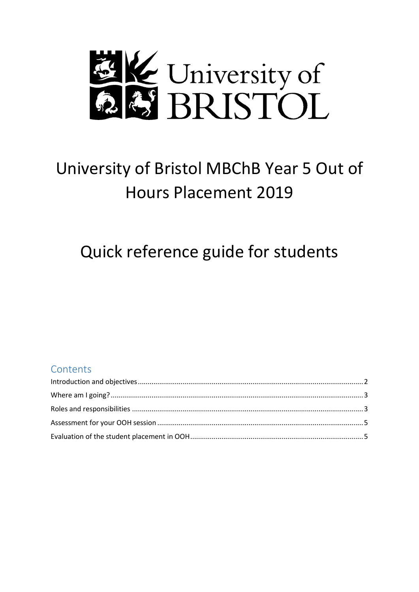

# University of Bristol MBChB Year 5 Out of **Hours Placement 2019**

# Quick reference guide for students

# Contents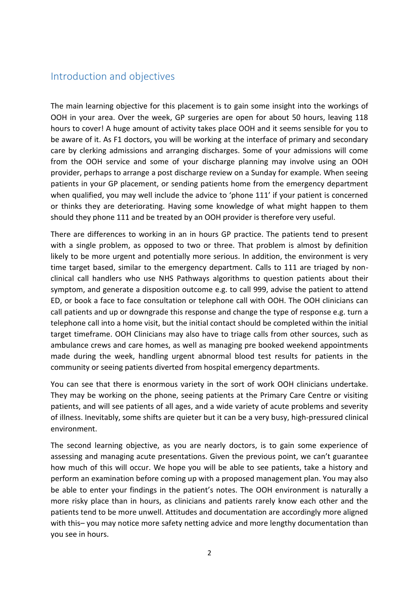### <span id="page-1-0"></span>Introduction and objectives

The main learning objective for this placement is to gain some insight into the workings of OOH in your area. Over the week, GP surgeries are open for about 50 hours, leaving 118 hours to cover! A huge amount of activity takes place OOH and it seems sensible for you to be aware of it. As F1 doctors, you will be working at the interface of primary and secondary care by clerking admissions and arranging discharges. Some of your admissions will come from the OOH service and some of your discharge planning may involve using an OOH provider, perhaps to arrange a post discharge review on a Sunday for example. When seeing patients in your GP placement, or sending patients home from the emergency department when qualified, you may well include the advice to 'phone 111' if your patient is concerned or thinks they are deteriorating. Having some knowledge of what might happen to them should they phone 111 and be treated by an OOH provider is therefore very useful.

There are differences to working in an in hours GP practice. The patients tend to present with a single problem, as opposed to two or three. That problem is almost by definition likely to be more urgent and potentially more serious. In addition, the environment is very time target based, similar to the emergency department. Calls to 111 are triaged by nonclinical call handlers who use NHS Pathways algorithms to question patients about their symptom, and generate a disposition outcome e.g. to call 999, advise the patient to attend ED, or book a face to face consultation or telephone call with OOH. The OOH clinicians can call patients and up or downgrade this response and change the type of response e.g. turn a telephone call into a home visit, but the initial contact should be completed within the initial target timeframe. OOH Clinicians may also have to triage calls from other sources, such as ambulance crews and care homes, as well as managing pre booked weekend appointments made during the week, handling urgent abnormal blood test results for patients in the community or seeing patients diverted from hospital emergency departments.

You can see that there is enormous variety in the sort of work OOH clinicians undertake. They may be working on the phone, seeing patients at the Primary Care Centre or visiting patients, and will see patients of all ages, and a wide variety of acute problems and severity of illness. Inevitably, some shifts are quieter but it can be a very busy, high-pressured clinical environment.

The second learning objective, as you are nearly doctors, is to gain some experience of assessing and managing acute presentations. Given the previous point, we can't guarantee how much of this will occur. We hope you will be able to see patients, take a history and perform an examination before coming up with a proposed management plan. You may also be able to enter your findings in the patient's notes. The OOH environment is naturally a more risky place than in hours, as clinicians and patients rarely know each other and the patients tend to be more unwell. Attitudes and documentation are accordingly more aligned with this– you may notice more safety netting advice and more lengthy documentation than you see in hours.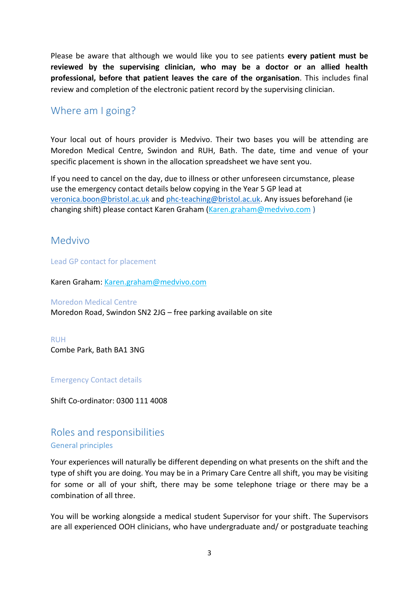Please be aware that although we would like you to see patients **every patient must be reviewed by the supervising clinician, who may be a doctor or an allied health professional, before that patient leaves the care of the organisation**. This includes final review and completion of the electronic patient record by the supervising clinician.

# <span id="page-2-0"></span>Where am I going?

Your local out of hours provider is Medvivo. Their two bases you will be attending are Moredon Medical Centre, Swindon and RUH, Bath. The date, time and venue of your specific placement is shown in the allocation spreadsheet we have sent you.

If you need to cancel on the day, due to illness or other unforeseen circumstance, please use the emergency contact details below copying in the Year 5 GP lead at [veronica.boon@bristol.ac.uk](mailto:veronica.boon@bristol.ac.uk) and [phc-teaching@bristol.ac.uk.](mailto:phc-teaching@bristol.ac.uk) Any issues beforehand (ie changing shift) please contact Karen Graham [\(Karen.graham@medvivo.com](mailto:Karen.graham@medvivo.com))

# <span id="page-2-1"></span>Medvivo

Lead GP contact for placement

Karen Graham: [Karen.graham@medvivo.com](mailto:Karen.graham@medvivo.com)

### Moredon Medical Centre

[Moredon Road, Swindon SN2 2JG](https://www.bing.com/local?lid=YN1029x14096022195603556939&id=YN1029x14096022195603556939&q=Moredon+Medical+Centre&name=Moredon+Medical+Centre&cp=51.5821762084961%7e-1.80663096904755&ppois=51.5821762084961_-1.80663096904755_Moredon+Medical+Centre) – free parking available on site

RUH [Combe Park, Bath BA1 3NG](https://www.bing.com/local?lid=YN1029x16210499239825231503&id=YN1029x16210499239825231503&q=Royal+United+Hospital&name=Royal+United+Hospital&cp=51.392032623291%7e-2.38971996307373&ppois=51.392032623291_-2.38971996307373_Royal+United+Hospital)

### Emergency Contact details

Shift Co-ordinator: 0300 111 4008

# Roles and responsibilities

### General principles

Your experiences will naturally be different depending on what presents on the shift and the type of shift you are doing. You may be in a Primary Care Centre all shift, you may be visiting for some or all of your shift, there may be some telephone triage or there may be a combination of all three.

You will be working alongside a medical student Supervisor for your shift. The Supervisors are all experienced OOH clinicians, who have undergraduate and/ or postgraduate teaching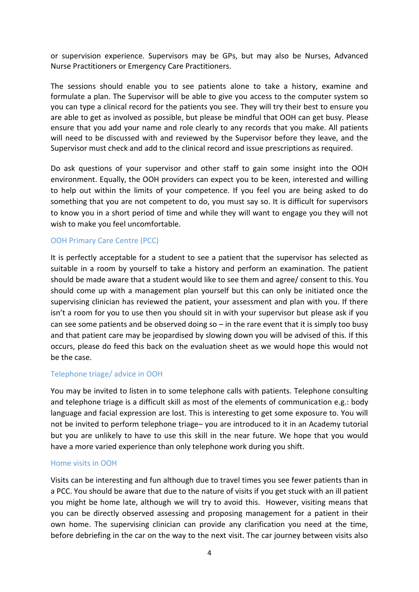or supervision experience. Supervisors may be GPs, but may also be Nurses, Advanced Nurse Practitioners or Emergency Care Practitioners.

The sessions should enable you to see patients alone to take a history, examine and formulate a plan. The Supervisor will be able to give you access to the computer system so you can type a clinical record for the patients you see. They will try their best to ensure you are able to get as involved as possible, but please be mindful that OOH can get busy. Please ensure that you add your name and role clearly to any records that you make. All patients will need to be discussed with and reviewed by the Supervisor before they leave, and the Supervisor must check and add to the clinical record and issue prescriptions as required.

Do ask questions of your supervisor and other staff to gain some insight into the OOH environment. Equally, the OOH providers can expect you to be keen, interested and willing to help out within the limits of your competence. If you feel you are being asked to do something that you are not competent to do, you must say so. It is difficult for supervisors to know you in a short period of time and while they will want to engage you they will not wish to make you feel uncomfortable.

### OOH Primary Care Centre (PCC)

It is perfectly acceptable for a student to see a patient that the supervisor has selected as suitable in a room by yourself to take a history and perform an examination. The patient should be made aware that a student would like to see them and agree/ consent to this. You should come up with a management plan yourself but this can only be initiated once the supervising clinician has reviewed the patient, your assessment and plan with you. If there isn't a room for you to use then you should sit in with your supervisor but please ask if you can see some patients and be observed doing so  $-$  in the rare event that it is simply too busy and that patient care may be jeopardised by slowing down you will be advised of this. If this occurs, please do feed this back on the evaluation sheet as we would hope this would not be the case.

### Telephone triage/ advice in OOH

You may be invited to listen in to some telephone calls with patients. Telephone consulting and telephone triage is a difficult skill as most of the elements of communication e.g.: body language and facial expression are lost. This is interesting to get some exposure to. You will not be invited to perform telephone triage– you are introduced to it in an Academy tutorial but you are unlikely to have to use this skill in the near future. We hope that you would have a more varied experience than only telephone work during you shift.

### Home visits in OOH

Visits can be interesting and fun although due to travel times you see fewer patients than in a PCC. You should be aware that due to the nature of visits if you get stuck with an ill patient you might be home late, although we will try to avoid this. However, visiting means that you can be directly observed assessing and proposing management for a patient in their own home. The supervising clinician can provide any clarification you need at the time, before debriefing in the car on the way to the next visit. The car journey between visits also